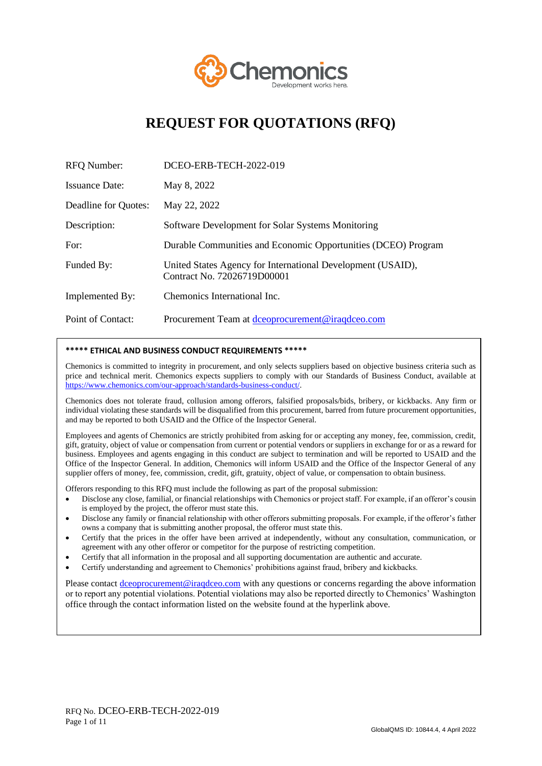

# **REQUEST FOR QUOTATIONS (RFQ)**

| <b>RFQ Number:</b>    | DCEO-ERB-TECH-2022-019                                                                     |
|-----------------------|--------------------------------------------------------------------------------------------|
| <b>Issuance Date:</b> | May 8, 2022                                                                                |
| Deadline for Quotes:  | May 22, 2022                                                                               |
| Description:          | Software Development for Solar Systems Monitoring                                          |
| For:                  | Durable Communities and Economic Opportunities (DCEO) Program                              |
| Funded By:            | United States Agency for International Development (USAID),<br>Contract No. 72026719D00001 |
| Implemented By:       | Chemonics International Inc.                                                               |
| Point of Contact:     | Procurement Team at dceoprocurement@iraqdceo.com                                           |

#### **\*\*\*\*\* ETHICAL AND BUSINESS CONDUCT REQUIREMENTS \*\*\*\*\***

Chemonics is committed to integrity in procurement, and only selects suppliers based on objective business criteria such as price and technical merit. Chemonics expects suppliers to comply with our Standards of Business Conduct, available at [https://www.chemonics.com/our-approach/standards-business-conduct/.](https://www.chemonics.com/our-approach/standards-business-conduct/)

Chemonics does not tolerate fraud, collusion among offerors, falsified proposals/bids, bribery, or kickbacks. Any firm or individual violating these standards will be disqualified from this procurement, barred from future procurement opportunities, and may be reported to both USAID and the Office of the Inspector General.

Employees and agents of Chemonics are strictly prohibited from asking for or accepting any money, fee, commission, credit, gift, gratuity, object of value or compensation from current or potential vendors or suppliers in exchange for or as a reward for business. Employees and agents engaging in this conduct are subject to termination and will be reported to USAID and the Office of the Inspector General. In addition, Chemonics will inform USAID and the Office of the Inspector General of any supplier offers of money, fee, commission, credit, gift, gratuity, object of value, or compensation to obtain business.

Offerors responding to this RFQ must include the following as part of the proposal submission:

- Disclose any close, familial, or financial relationships with Chemonics or project staff. For example, if an offeror's cousin is employed by the project, the offeror must state this.
- Disclose any family or financial relationship with other offerors submitting proposals. For example, if the offeror's father owns a company that is submitting another proposal, the offeror must state this.
- Certify that the prices in the offer have been arrived at independently, without any consultation, communication, or agreement with any other offeror or competitor for the purpose of restricting competition.
- Certify that all information in the proposal and all supporting documentation are authentic and accurate.
- Certify understanding and agreement to Chemonics' prohibitions against fraud, bribery and kickbacks.

Please contact dceoprocurement@iraqdceo.com with any questions or concerns regarding the above information or to report any potential violations. Potential violations may also be reported directly to Chemonics' Washington office through the contact information listed on the website found at the hyperlink above.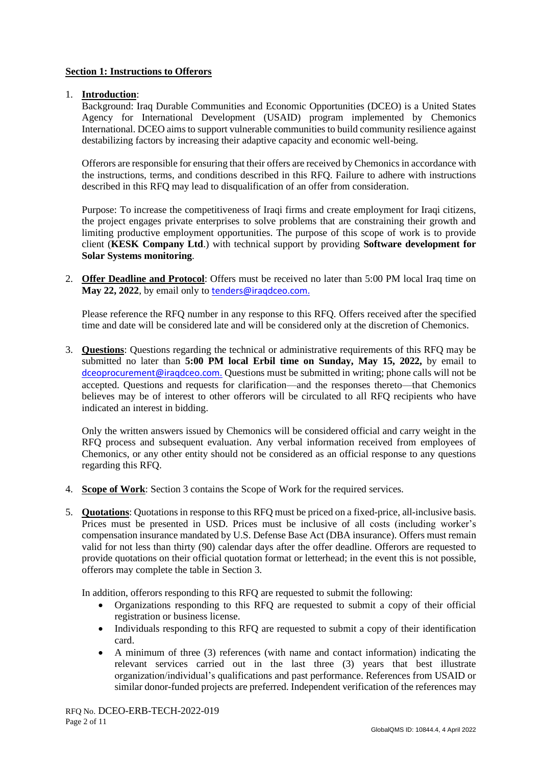## **Section 1: Instructions to Offerors**

## 1. **Introduction**:

Background: Iraq Durable Communities and Economic Opportunities (DCEO) is a United States Agency for International Development (USAID) program implemented by Chemonics International. DCEO aims to support vulnerable communities to build community resilience against destabilizing factors by increasing their adaptive capacity and economic well-being.

Offerors are responsible for ensuring that their offers are received by Chemonics in accordance with the instructions, terms, and conditions described in this RFQ. Failure to adhere with instructions described in this RFQ may lead to disqualification of an offer from consideration.

Purpose: To increase the competitiveness of Iraqi firms and create employment for Iraqi citizens, the project engages private enterprises to solve problems that are constraining their growth and limiting productive employment opportunities. The purpose of this scope of work is to provide client (**KESK Company Ltd**.) with technical support by providing **Software development for Solar Systems monitoring**.

2. **Offer Deadline and Protocol**: Offers must be received no later than 5:00 PM local Iraq time on May 22, 2022, by email only to tenders@iraqdceo.com.

Please reference the RFQ number in any response to this RFQ. Offers received after the specified time and date will be considered late and will be considered only at the discretion of Chemonics.

3. **Questions**: Questions regarding the technical or administrative requirements of this RFQ may be submitted no later than **5:00 PM local Erbil time on Sunday, May 15, 2022,** by email to dceoprocurement@iraqdceo.com. Questions must be submitted in writing; phone calls will not be accepted. Questions and requests for clarification—and the responses thereto—that Chemonics believes may be of interest to other offerors will be circulated to all RFQ recipients who have indicated an interest in bidding.

Only the written answers issued by Chemonics will be considered official and carry weight in the RFQ process and subsequent evaluation. Any verbal information received from employees of Chemonics, or any other entity should not be considered as an official response to any questions regarding this RFQ.

- 4. **Scope of Work**: Section 3 contains the Scope of Work for the required services.
- 5. **Quotations**: Quotations in response to this RFQ must be priced on a fixed-price, all-inclusive basis. Prices must be presented in USD. Prices must be inclusive of all costs (including worker's compensation insurance mandated by U.S. Defense Base Act (DBA insurance). Offers must remain valid for not less than thirty (90) calendar days after the offer deadline. Offerors are requested to provide quotations on their official quotation format or letterhead; in the event this is not possible, offerors may complete the table in Section 3.

In addition, offerors responding to this RFQ are requested to submit the following:

- Organizations responding to this RFQ are requested to submit a copy of their official registration or business license.
- Individuals responding to this RFQ are requested to submit a copy of their identification card.
- A minimum of three (3) references (with name and contact information) indicating the relevant services carried out in the last three (3) years that best illustrate organization/individual's qualifications and past performance. References from USAID or similar donor-funded projects are preferred. Independent verification of the references may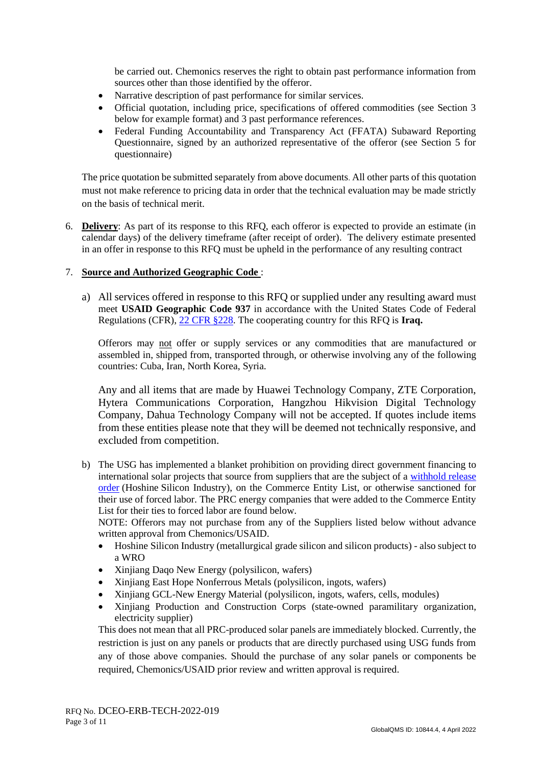be carried out. Chemonics reserves the right to obtain past performance information from sources other than those identified by the offeror.

- Narrative description of past performance for similar services.
- Official quotation, including price, specifications of offered commodities (see Section 3 below for example format) and 3 past performance references.
- Federal Funding Accountability and Transparency Act (FFATA) Subaward Reporting Questionnaire, signed by an authorized representative of the offeror (see Section 5 for questionnaire)

The price quotation be submitted separately from above documents. All other parts of this quotation must not make reference to pricing data in order that the technical evaluation may be made strictly on the basis of technical merit.

6. **Delivery**: As part of its response to this RFQ, each offeror is expected to provide an estimate (in calendar days) of the delivery timeframe (after receipt of order). The delivery estimate presented in an offer in response to this RFQ must be upheld in the performance of any resulting contract

## 7. **Source and Authorized Geographic Code** :

a) All services offered in response to this RFQ or supplied under any resulting award must meet **USAID Geographic Code 937** in accordance with the United States Code of Federal Regulations (CFR), [22 CFR §228.](https://www.gpo.gov/fdsys/pkg/CFR-2017-title22-vol1/pdf/CFR-2017-title22-vol1-part228.pdf) The cooperating country for this RFQ is **Iraq.**

Offerors may not offer or supply services or any commodities that are manufactured or assembled in, shipped from, transported through, or otherwise involving any of the following countries: Cuba, Iran, North Korea, Syria.

Any and all items that are made by Huawei Technology Company, ZTE Corporation, Hytera Communications Corporation, Hangzhou Hikvision Digital Technology Company, Dahua Technology Company will not be accepted. If quotes include items from these entities please note that they will be deemed not technically responsive, and excluded from competition.

b) The USG has implemented a blanket prohibition on providing direct government financing to international solar projects that source from suppliers that are the subject of a [withhold release](https://nam02.safelinks.protection.outlook.com/?url=https%3A%2F%2Fwww.cbp.gov%2Ftrade%2Fprograms-administration%2Fforced-labor%2Fhoshine-silicon-industry-co-ltd-withhold-release-order-frequently-asked-questions&data=04%7C01%7Cmevans%40chemonics.com%7Cceeecd341d8a4ff63e0508d9e754a887%7C7c1f24a67d39452c82370726e3b19a73%7C0%7C0%7C637795173057717238%7CUnknown%7CTWFpbGZsb3d8eyJWIjoiMC4wLjAwMDAiLCJQIjoiV2luMzIiLCJBTiI6Ik1haWwiLCJXVCI6Mn0%3D%7C3000&sdata=yrbsNUrX2K7Mt2xEI2aWOV0T9CU1W8PxaTcDHrp7LY4%3D&reserved=0)  [order](https://nam02.safelinks.protection.outlook.com/?url=https%3A%2F%2Fwww.cbp.gov%2Ftrade%2Fprograms-administration%2Fforced-labor%2Fhoshine-silicon-industry-co-ltd-withhold-release-order-frequently-asked-questions&data=04%7C01%7Cmevans%40chemonics.com%7Cceeecd341d8a4ff63e0508d9e754a887%7C7c1f24a67d39452c82370726e3b19a73%7C0%7C0%7C637795173057717238%7CUnknown%7CTWFpbGZsb3d8eyJWIjoiMC4wLjAwMDAiLCJQIjoiV2luMzIiLCJBTiI6Ik1haWwiLCJXVCI6Mn0%3D%7C3000&sdata=yrbsNUrX2K7Mt2xEI2aWOV0T9CU1W8PxaTcDHrp7LY4%3D&reserved=0) (Hoshine Silicon Industry), on the Commerce Entity List, or otherwise sanctioned for their use of forced labor. The PRC energy companies that were added to the Commerce Entity List for their ties to forced labor are found below.

NOTE: Offerors may not purchase from any of the Suppliers listed below without advance written approval from Chemonics/USAID.

- Hoshine Silicon Industry (metallurgical grade silicon and silicon products) also subject to a WRO
- Xinjiang Daqo New Energy (polysilicon, wafers)
- Xinjiang East Hope Nonferrous Metals (polysilicon, ingots, wafers)
- Xinjiang GCL-New Energy Material (polysilicon, ingots, wafers, cells, modules)
- Xinjiang Production and Construction Corps (state-owned paramilitary organization, electricity supplier)

This does not mean that all PRC-produced solar panels are immediately blocked. Currently, the restriction is just on any panels or products that are directly purchased using USG funds from any of those above companies. Should the purchase of any solar panels or components be required, Chemonics/USAID prior review and written approval is required.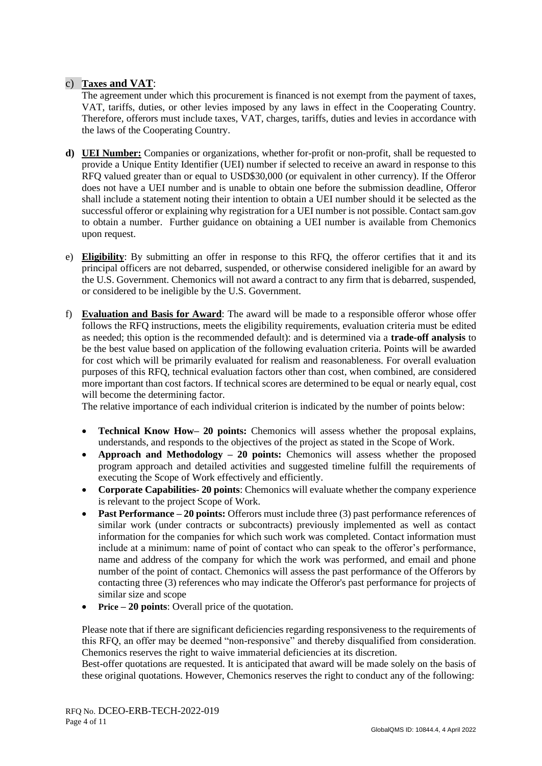## c) **Taxes and VAT**:

The agreement under which this procurement is financed is not exempt from the payment of taxes, VAT, tariffs, duties, or other levies imposed by any laws in effect in the Cooperating Country. Therefore, offerors must include taxes, VAT, charges, tariffs, duties and levies in accordance with the laws of the Cooperating Country.

- **d) UEI Number:** Companies or organizations, whether for-profit or non-profit, shall be requested to provide a Unique Entity Identifier (UEI) number if selected to receive an award in response to this RFQ valued greater than or equal to USD\$30,000 (or equivalent in other currency). If the Offeror does not have a UEI number and is unable to obtain one before the submission deadline, Offeror shall include a statement noting their intention to obtain a UEI number should it be selected as the successful offeror or explaining why registration for a UEI number is not possible. Contact sam.gov to obtain a number. Further guidance on obtaining a UEI number is available from Chemonics upon request.
- e) **Eligibility**: By submitting an offer in response to this RFQ, the offeror certifies that it and its principal officers are not debarred, suspended, or otherwise considered ineligible for an award by the U.S. Government. Chemonics will not award a contract to any firm that is debarred, suspended, or considered to be ineligible by the U.S. Government.
- f) **Evaluation and Basis for Award**: The award will be made to a responsible offeror whose offer follows the RFQ instructions, meets the eligibility requirements, evaluation criteria must be edited as needed; this option is the recommended default): and is determined via a **trade-off analysis** to be the best value based on application of the following evaluation criteria. Points will be awarded for cost which will be primarily evaluated for realism and reasonableness. For overall evaluation purposes of this RFQ, technical evaluation factors other than cost, when combined, are considered more important than cost factors. If technical scores are determined to be equal or nearly equal, cost will become the determining factor.

The relative importance of each individual criterion is indicated by the number of points below:

- **Technical Know How– 20 points:** Chemonics will assess whether the proposal explains, understands, and responds to the objectives of the project as stated in the Scope of Work.
- **Approach and Methodology – 20 points:** Chemonics will assess whether the proposed program approach and detailed activities and suggested timeline fulfill the requirements of executing the Scope of Work effectively and efficiently.
- **Corporate Capabilities- 20 points**: Chemonics will evaluate whether the company experience is relevant to the project Scope of Work.
- **Past Performance 20 points:** Offerors must include three (3) past performance references of similar work (under contracts or subcontracts) previously implemented as well as contact information for the companies for which such work was completed. Contact information must include at a minimum: name of point of contact who can speak to the offeror's performance, name and address of the company for which the work was performed, and email and phone number of the point of contact. Chemonics will assess the past performance of the Offerors by contacting three (3) references who may indicate the Offeror's past performance for projects of similar size and scope
- **Price – 20 points**: Overall price of the quotation.

Please note that if there are significant deficiencies regarding responsiveness to the requirements of this RFQ, an offer may be deemed "non-responsive" and thereby disqualified from consideration. Chemonics reserves the right to waive immaterial deficiencies at its discretion.

Best-offer quotations are requested. It is anticipated that award will be made solely on the basis of these original quotations. However, Chemonics reserves the right to conduct any of the following: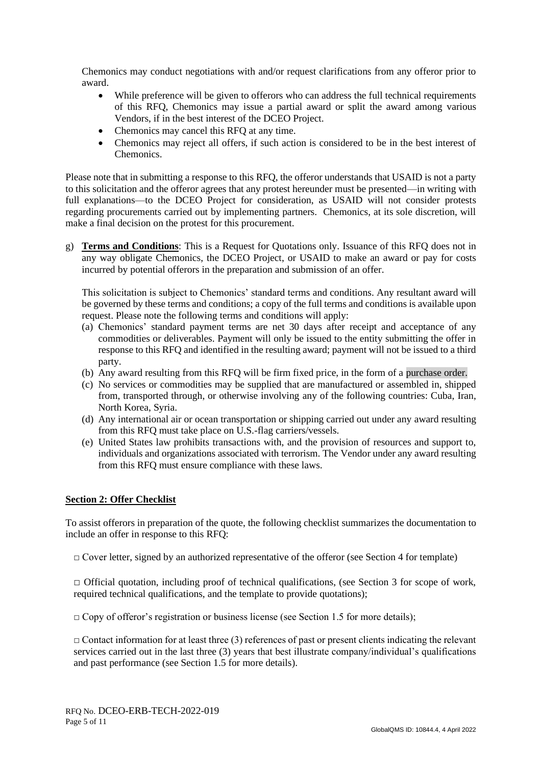Chemonics may conduct negotiations with and/or request clarifications from any offeror prior to award.

- While preference will be given to offerors who can address the full technical requirements of this RFQ, Chemonics may issue a partial award or split the award among various Vendors, if in the best interest of the DCEO Project.
- Chemonics may cancel this RFQ at any time.
- Chemonics may reject all offers, if such action is considered to be in the best interest of Chemonics.

Please note that in submitting a response to this RFQ, the offeror understands that USAID is not a party to this solicitation and the offeror agrees that any protest hereunder must be presented—in writing with full explanations—to the DCEO Project for consideration, as USAID will not consider protests regarding procurements carried out by implementing partners. Chemonics, at its sole discretion, will make a final decision on the protest for this procurement.

g) **Terms and Conditions**: This is a Request for Quotations only. Issuance of this RFQ does not in any way obligate Chemonics, the DCEO Project, or USAID to make an award or pay for costs incurred by potential offerors in the preparation and submission of an offer.

This solicitation is subject to Chemonics' standard terms and conditions. Any resultant award will be governed by these terms and conditions; a copy of the full terms and conditions is available upon request. Please note the following terms and conditions will apply:

- (a) Chemonics' standard payment terms are net 30 days after receipt and acceptance of any commodities or deliverables. Payment will only be issued to the entity submitting the offer in response to this RFQ and identified in the resulting award; payment will not be issued to a third party.
- (b) Any award resulting from this RFQ will be firm fixed price, in the form of a purchase order.
- (c) No services or commodities may be supplied that are manufactured or assembled in, shipped from, transported through, or otherwise involving any of the following countries: Cuba, Iran, North Korea, Syria.
- (d) Any international air or ocean transportation or shipping carried out under any award resulting from this RFQ must take place on U.S.-flag carriers/vessels.
- (e) United States law prohibits transactions with, and the provision of resources and support to, individuals and organizations associated with terrorism. The Vendor under any award resulting from this RFQ must ensure compliance with these laws.

#### **Section 2: Offer Checklist**

To assist offerors in preparation of the quote, the following checklist summarizes the documentation to include an offer in response to this RFQ:

 $\Box$  Cover letter, signed by an authorized representative of the offeror (see Section 4 for template)

 $\Box$  Official quotation, including proof of technical qualifications, (see Section 3 for scope of work, required technical qualifications, and the template to provide quotations);

 $\Box$  Copy of offeror's registration or business license (see Section 1.5 for more details);

 $\Box$  Contact information for at least three (3) references of past or present clients indicating the relevant services carried out in the last three (3) years that best illustrate company/individual's qualifications and past performance (see Section 1.5 for more details).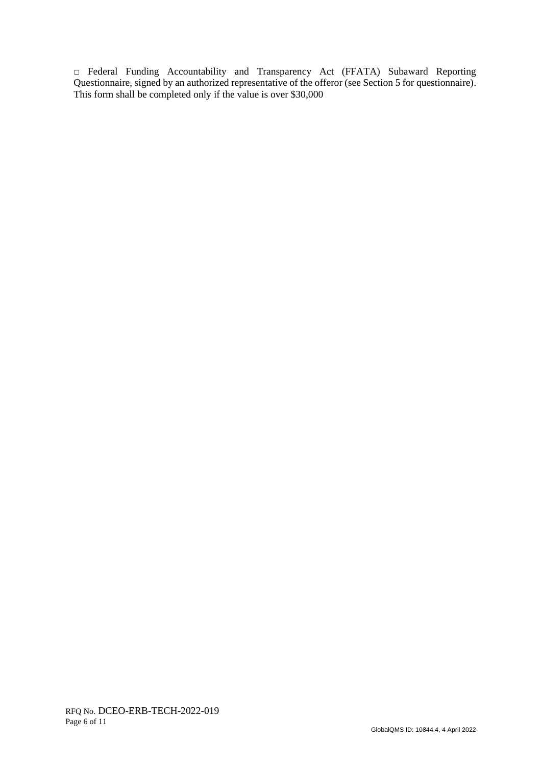□ Federal Funding Accountability and Transparency Act (FFATA) Subaward Reporting Questionnaire, signed by an authorized representative of the offeror (see Section 5 for questionnaire). This form shall be completed only if the value is over \$30,000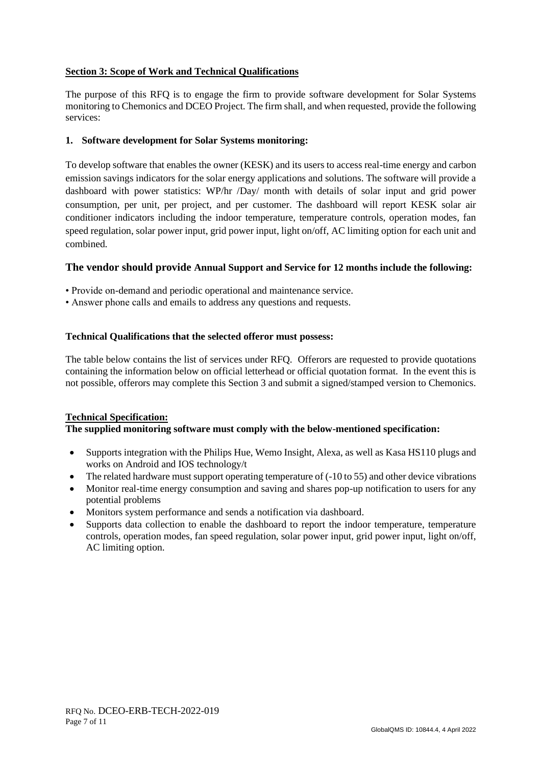## **Section 3: Scope of Work and Technical Qualifications**

The purpose of this RFQ is to engage the firm to provide software development for Solar Systems monitoring to Chemonics and DCEO Project. The firm shall, and when requested, provide the following services:

## **1. Software development for Solar Systems monitoring:**

To develop software that enables the owner (KESK) and its users to access real-time energy and carbon emission savings indicators for the solar energy applications and solutions. The software will provide a dashboard with power statistics: WP/hr /Day/ month with details of solar input and grid power consumption, per unit, per project, and per customer. The dashboard will report KESK solar air conditioner indicators including the indoor temperature, temperature controls, operation modes, fan speed regulation, solar power input, grid power input, light on/off, AC limiting option for each unit and combined.

## **The vendor should provide Annual Support and Service for 12 months include the following:**

- Provide on-demand and periodic operational and maintenance service.
- Answer phone calls and emails to address any questions and requests.

## **Technical Qualifications that the selected offeror must possess:**

The table below contains the list of services under RFQ. Offerors are requested to provide quotations containing the information below on official letterhead or official quotation format. In the event this is not possible, offerors may complete this Section 3 and submit a signed/stamped version to Chemonics.

#### **Technical Specification: The supplied monitoring software must comply with the below-mentioned specification:**

- Supports integration with the Philips Hue, Wemo Insight, Alexa, as well as Kasa HS110 plugs and works on Android and IOS technology/t
- The related hardware must support operating temperature of (-10 to 55) and other device vibrations
- Monitor real-time energy consumption and saving and shares pop-up notification to users for any potential problems
- Monitors system performance and sends a notification via dashboard.
- Supports data collection to enable the dashboard to report the indoor temperature, temperature controls, operation modes, fan speed regulation, solar power input, grid power input, light on/off, AC limiting option.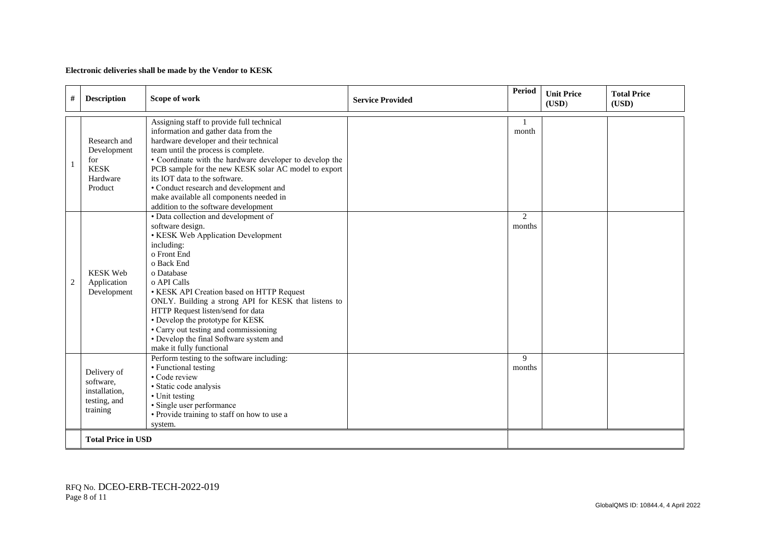#### **Electronic deliveries shall be made by the Vendor to KESK**

| $\#$           | <b>Description</b>                                                       | Scope of work                                                                                                                                                                                                                                                                                                                                                                                                                                                        | <b>Service Provided</b> | Period      | <b>Unit Price</b><br>(USD) | <b>Total Price</b><br>(USD) |
|----------------|--------------------------------------------------------------------------|----------------------------------------------------------------------------------------------------------------------------------------------------------------------------------------------------------------------------------------------------------------------------------------------------------------------------------------------------------------------------------------------------------------------------------------------------------------------|-------------------------|-------------|----------------------------|-----------------------------|
| 1              | Research and<br>Development<br>for<br><b>KESK</b><br>Hardware<br>Product | Assigning staff to provide full technical<br>information and gather data from the<br>hardware developer and their technical<br>team until the process is complete.<br>• Coordinate with the hardware developer to develop the<br>PCB sample for the new KESK solar AC model to export<br>its IOT data to the software.<br>• Conduct research and development and<br>make available all components needed in<br>addition to the software development                  |                         | month       |                            |                             |
| $\overline{c}$ | <b>KESK Web</b><br>Application<br>Development                            | • Data collection and development of<br>software design.<br>• KESK Web Application Development<br>including:<br>o Front End<br>o Back End<br>o Database<br>o API Calls<br>• KESK API Creation based on HTTP Request<br>ONLY. Building a strong API for KESK that listens to<br>HTTP Request listen/send for data<br>• Develop the prototype for KESK<br>• Carry out testing and commissioning<br>• Develop the final Software system and<br>make it fully functional |                         | 2<br>months |                            |                             |
|                | Delivery of<br>software,<br>installation,<br>testing, and<br>training    | Perform testing to the software including:<br>• Functional testing<br>• Code review<br>· Static code analysis<br>• Unit testing<br>· Single user performance<br>· Provide training to staff on how to use a<br>system.                                                                                                                                                                                                                                               |                         | 9<br>months |                            |                             |
|                | <b>Total Price in USD</b>                                                |                                                                                                                                                                                                                                                                                                                                                                                                                                                                      |                         |             |                            |                             |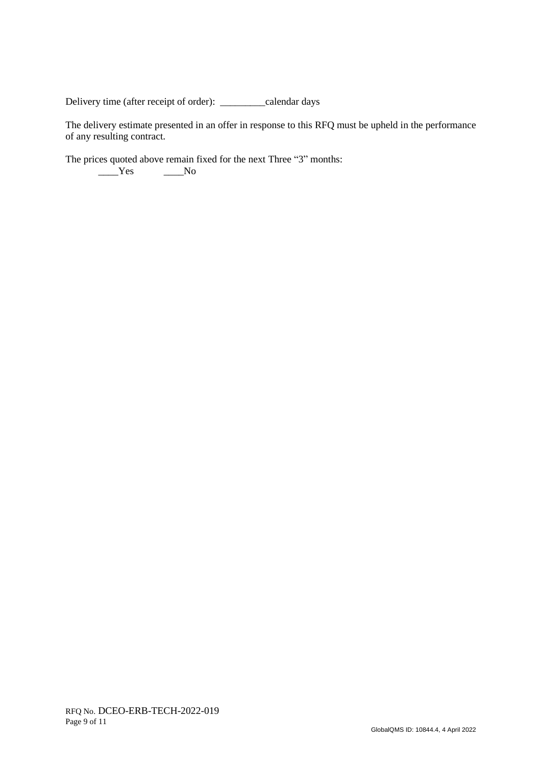Delivery time (after receipt of order): \_\_\_\_\_\_\_\_\_calendar days

The delivery estimate presented in an offer in response to this RFQ must be upheld in the performance of any resulting contract.

The prices quoted above remain fixed for the next Three "3" months:  $Y$ es  $N$ o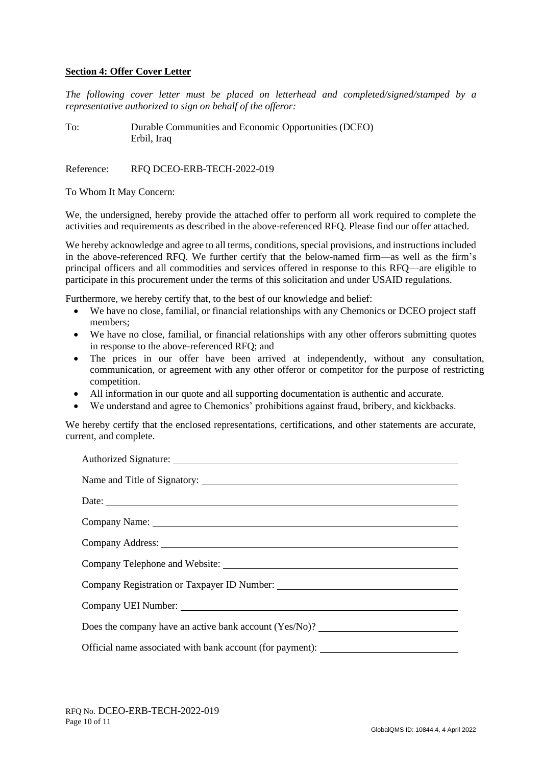#### **Section 4: Offer Cover Letter**

*The following cover letter must be placed on letterhead and completed/signed/stamped by a representative authorized to sign on behalf of the offeror:*

To: Durable Communities and Economic Opportunities (DCEO) Erbil, Iraq

Reference: RFO DCEO-ERB-TECH-2022-019

To Whom It May Concern:

We, the undersigned, hereby provide the attached offer to perform all work required to complete the activities and requirements as described in the above-referenced RFQ. Please find our offer attached.

We hereby acknowledge and agree to all terms, conditions, special provisions, and instructions included in the above-referenced RFQ. We further certify that the below-named firm—as well as the firm's principal officers and all commodities and services offered in response to this RFQ—are eligible to participate in this procurement under the terms of this solicitation and under USAID regulations.

Furthermore, we hereby certify that, to the best of our knowledge and belief:

- We have no close, familial, or financial relationships with any Chemonics or DCEO project staff members;
- We have no close, familial, or financial relationships with any other offerors submitting quotes in response to the above-referenced RFQ; and
- The prices in our offer have been arrived at independently, without any consultation, communication, or agreement with any other offeror or competitor for the purpose of restricting competition.
- All information in our quote and all supporting documentation is authentic and accurate.
- We understand and agree to Chemonics' prohibitions against fraud, bribery, and kickbacks.

We hereby certify that the enclosed representations, certifications, and other statements are accurate, current, and complete.

| Date:                                                                                                                                                                                                                          |  |  |  |
|--------------------------------------------------------------------------------------------------------------------------------------------------------------------------------------------------------------------------------|--|--|--|
| Company Name: Name: Name: Name: Name: Name: Name: Name: Name: Name: Name: Name: Name: Name: Name: Name: Name: Name: Name: Name: Name: Name: Name: Name: Name: Name: Name: Name: Name: Name: Name: Name: Name: Name: Name: Name |  |  |  |
|                                                                                                                                                                                                                                |  |  |  |
|                                                                                                                                                                                                                                |  |  |  |
| Company Registration or Taxpayer ID Number:                                                                                                                                                                                    |  |  |  |
|                                                                                                                                                                                                                                |  |  |  |
| Does the company have an active bank account (Yes/No)?                                                                                                                                                                         |  |  |  |
| Official name associated with bank account (for payment): _______________________                                                                                                                                              |  |  |  |